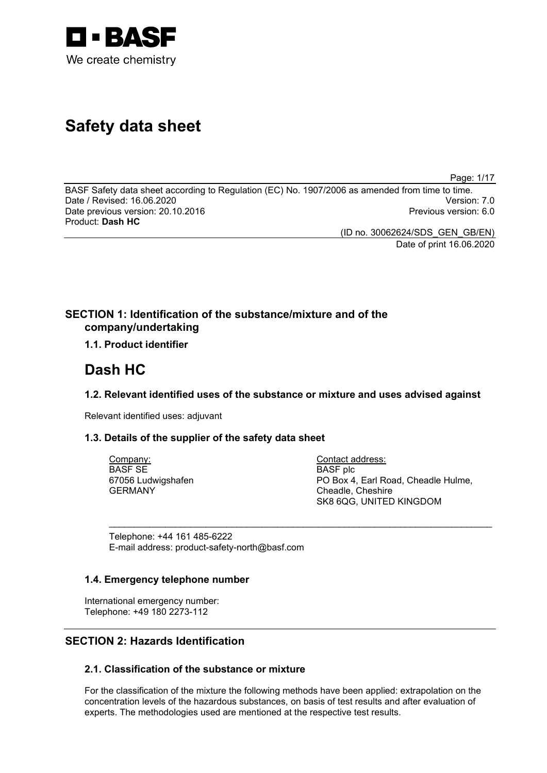

# **Safety data sheet**

Page: 1/17

BASF Safety data sheet according to Regulation (EC) No. 1907/2006 as amended from time to time. Date / Revised: 16.06.2020 Version: 7.0 Date previous version: 20.10.2016 Product: **Dash HC**

(ID no. 30062624/SDS\_GEN\_GB/EN) Date of print 16.06.2020

# **SECTION 1: Identification of the substance/mixture and of the company/undertaking**

# **1.1. Product identifier**

# **Dash HC**

# **1.2. Relevant identified uses of the substance or mixture and uses advised against**

\_\_\_\_\_\_\_\_\_\_\_\_\_\_\_\_\_\_\_\_\_\_\_\_\_\_\_\_\_\_\_\_\_\_\_\_\_\_\_\_\_\_\_\_\_\_\_\_\_\_\_\_\_\_\_\_\_\_\_\_\_\_\_\_\_\_\_\_\_\_\_\_\_\_\_

Relevant identified uses: adjuvant

# **1.3. Details of the supplier of the safety data sheet**

Company: BASF SE 67056 Ludwigshafen GERMANY

Contact address: BASF plc PO Box 4, Earl Road, Cheadle Hulme, Cheadle, Cheshire SK8 6QG, UNITED KINGDOM

Telephone: +44 161 485-6222 E-mail address: product-safety-north@basf.com

# **1.4. Emergency telephone number**

International emergency number: Telephone: +49 180 2273-112

# **SECTION 2: Hazards Identification**

# **2.1. Classification of the substance or mixture**

For the classification of the mixture the following methods have been applied: extrapolation on the concentration levels of the hazardous substances, on basis of test results and after evaluation of experts. The methodologies used are mentioned at the respective test results.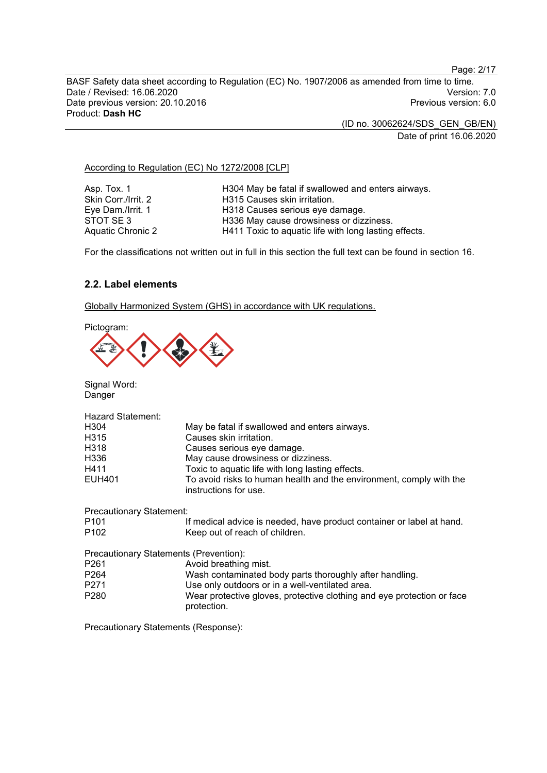Page: 2/17

BASF Safety data sheet according to Regulation (EC) No. 1907/2006 as amended from time to time. Date / Revised: 16.06.2020<br>Date previous version: 20.10.2016 Version: 7.0<br>Previous version: 6.0 Date previous version: 20.10.2016 Product: **Dash HC**

(ID no. 30062624/SDS\_GEN\_GB/EN)

Date of print 16.06.2020

# According to Regulation (EC) No 1272/2008 [CLP]

Asp. Tox. 1 **H304 May be fatal if swallowed and enters airways.**<br>Skin Corr./Irrit. 2 **H315 Causes skin irritation**. Skin Corr./Irrit. 2 H315 Causes skin irritation.<br>Eye Dam./Irrit. 1 H318 Causes serious eye d Eye Dam./Irrit. 1 **H318 Causes serious eye damage.**<br>STOT SE 3 **H336 May cause drowsiness or dizz** STOT SE 3 H336 May cause drowsiness or dizziness.<br>Aquatic Chronic 2 H411 Toxic to aquatic life with long lasting H411 Toxic to aquatic life with long lasting effects.

For the classifications not written out in full in this section the full text can be found in section 16.

# **2.2. Label elements**

Globally Harmonized System (GHS) in accordance with UK regulations.





Signal Word: Danger

| <b>Hazard Statement:</b>        |                                                                                              |
|---------------------------------|----------------------------------------------------------------------------------------------|
| H304                            | May be fatal if swallowed and enters airways.                                                |
| H315                            | Causes skin irritation.                                                                      |
| H318                            | Causes serious eye damage.                                                                   |
| H336                            | May cause drowsiness or dizziness.                                                           |
| H411                            | Toxic to aquatic life with long lasting effects.                                             |
| <b>EUH401</b>                   | To avoid risks to human health and the environment, comply with the<br>instructions for use. |
| <b>Precautionary Statement:</b> |                                                                                              |
| P <sub>101</sub>                | If medical advice is needed, have product container or label at hand.                        |

| P <sub>102</sub> | Keep out of reach of children.                                                        |
|------------------|---------------------------------------------------------------------------------------|
|                  | Precautionary Statements (Prevention):                                                |
| P <sub>261</sub> | Avoid breathing mist.                                                                 |
| P <sub>264</sub> | Wash contaminated body parts thoroughly after handling.                               |
| P <sub>271</sub> | Use only outdoors or in a well-ventilated area.                                       |
| P <sub>280</sub> | Wear protective gloves, protective clothing and eye protection or face<br>protection. |

Precautionary Statements (Response):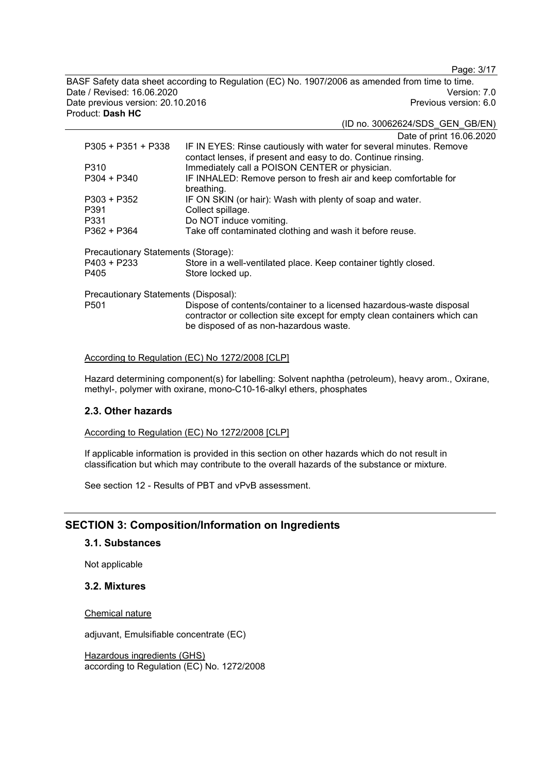Page: 3/17

BASF Safety data sheet according to Regulation (EC) No. 1907/2006 as amended from time to time. Date / Revised: 16.06.2020<br>Date previous version: 20.10.2016 Version: 7.0<br>Previous version: 6.0 Date previous version: 20.10.2016 Product: **Dash HC**

(ID no. 30062624/SDS\_GEN\_GB/EN)

Date of print 16.06.2020

| P305 + P351 + P338                   | IF IN EYES: Rinse cautiously with water for several minutes. Remove<br>contact lenses, if present and easy to do. Continue rinsing.                                                         |
|--------------------------------------|---------------------------------------------------------------------------------------------------------------------------------------------------------------------------------------------|
| P310                                 | Immediately call a POISON CENTER or physician.                                                                                                                                              |
| $P304 + P340$                        | IF INHALED: Remove person to fresh air and keep comfortable for<br>breathing.                                                                                                               |
| $P303 + P352$                        | IF ON SKIN (or hair): Wash with plenty of soap and water.                                                                                                                                   |
| P391                                 | Collect spillage.                                                                                                                                                                           |
| P331                                 | Do NOT induce vomiting.                                                                                                                                                                     |
| P362 + P364                          | Take off contaminated clothing and wash it before reuse.                                                                                                                                    |
| Precautionary Statements (Storage):  |                                                                                                                                                                                             |
| P403 + P233                          | Store in a well-ventilated place. Keep container tightly closed.                                                                                                                            |
| P405                                 | Store locked up.                                                                                                                                                                            |
| Precautionary Statements (Disposal): |                                                                                                                                                                                             |
| P <sub>501</sub>                     | Dispose of contents/container to a licensed hazardous-waste disposal<br>contractor or collection site except for empty clean containers which can<br>be disposed of as non-hazardous waste. |

## According to Regulation (EC) No 1272/2008 [CLP]

Hazard determining component(s) for labelling: Solvent naphtha (petroleum), heavy arom., Oxirane, methyl-, polymer with oxirane, mono-C10-16-alkyl ethers, phosphates

# **2.3. Other hazards**

According to Regulation (EC) No 1272/2008 [CLP]

If applicable information is provided in this section on other hazards which do not result in classification but which may contribute to the overall hazards of the substance or mixture.

See section 12 - Results of PBT and vPvB assessment.

# **SECTION 3: Composition/Information on Ingredients**

## **3.1. Substances**

Not applicable

#### **3.2. Mixtures**

Chemical nature

adjuvant, Emulsifiable concentrate (EC)

Hazardous ingredients (GHS) according to Regulation (EC) No. 1272/2008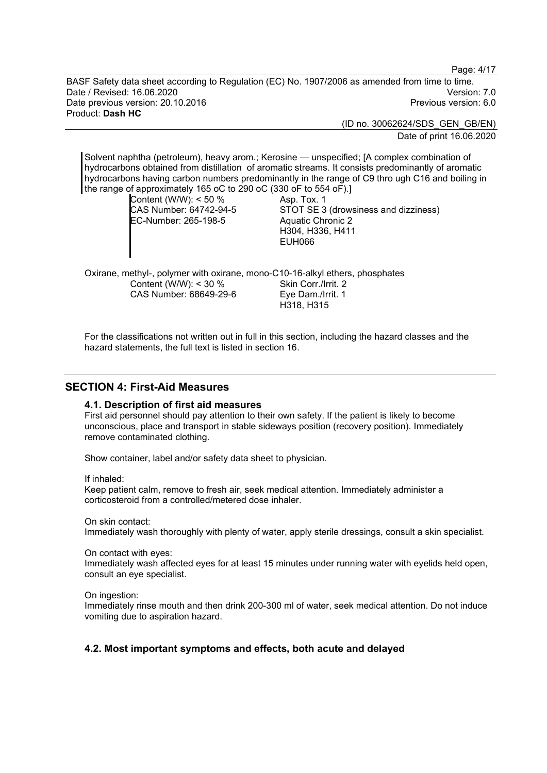Page: 4/17

BASF Safety data sheet according to Regulation (EC) No. 1907/2006 as amended from time to time. Date / Revised: 16.06.2020 Version: 7.0 Date previous version: 20.10.2016 Product: **Dash HC**

> (ID no. 30062624/SDS\_GEN\_GB/EN) Date of print 16.06.2020

Solvent naphtha (petroleum), heavy arom.; Kerosine — unspecified; [A complex combination of hydrocarbons obtained from distillation of aromatic streams. It consists predominantly of aromatic hydrocarbons having carbon numbers predominantly in the range of C9 thro ugh C16 and boiling in the range of approximately 165 oC to 290 oC (330 oF to 554 oF).] Content (W/W): < 50 % CAS Number: 64742-94-5 EC-Number: 265-198-5 Asp. Tox. 1 STOT SE 3 (drowsiness and dizziness) Aquatic Chronic 2 H304, H336, H411

EUH066

Oxirane, methyl-, polymer with oxirane, mono-C10-16-alkyl ethers, phosphates Content (W/W): < 30 % CAS Number: 68649-29-6 Skin Corr./Irrit. 2 Eye Dam./Irrit. 1 H318, H315

For the classifications not written out in full in this section, including the hazard classes and the hazard statements, the full text is listed in section 16.

# **SECTION 4: First-Aid Measures**

#### **4.1. Description of first aid measures**

First aid personnel should pay attention to their own safety. If the patient is likely to become unconscious, place and transport in stable sideways position (recovery position). Immediately remove contaminated clothing.

Show container, label and/or safety data sheet to physician.

If inhaled:

Keep patient calm, remove to fresh air, seek medical attention. Immediately administer a corticosteroid from a controlled/metered dose inhaler.

On skin contact:

Immediately wash thoroughly with plenty of water, apply sterile dressings, consult a skin specialist.

On contact with eyes:

Immediately wash affected eyes for at least 15 minutes under running water with eyelids held open, consult an eye specialist.

On ingestion:

Immediately rinse mouth and then drink 200-300 ml of water, seek medical attention. Do not induce vomiting due to aspiration hazard.

# **4.2. Most important symptoms and effects, both acute and delayed**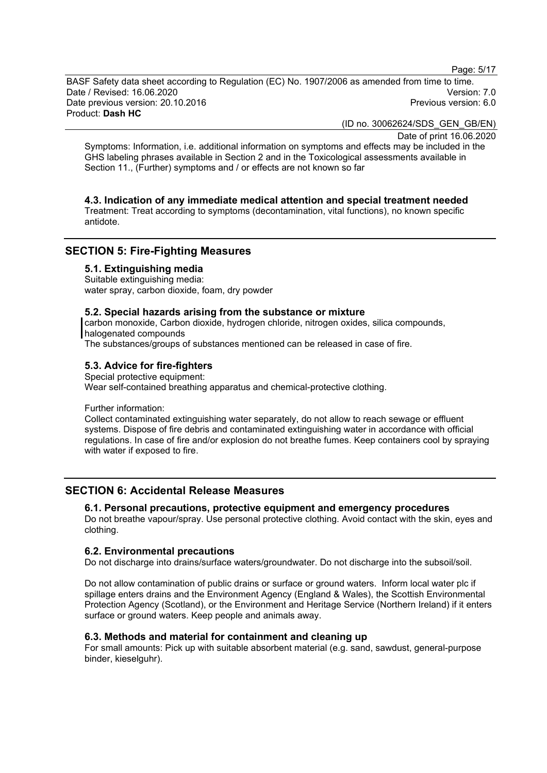Page: 5/17

BASF Safety data sheet according to Regulation (EC) No. 1907/2006 as amended from time to time. Date / Revised: 16.06.2020 Version: 7.0 Date previous version: 20.10.2016 Product: **Dash HC**

(ID no. 30062624/SDS\_GEN\_GB/EN)

Date of print 16.06.2020

Symptoms: Information, i.e. additional information on symptoms and effects may be included in the GHS labeling phrases available in Section 2 and in the Toxicological assessments available in Section 11., (Further) symptoms and / or effects are not known so far

# **4.3. Indication of any immediate medical attention and special treatment needed**

Treatment: Treat according to symptoms (decontamination, vital functions), no known specific antidote.

# **SECTION 5: Fire-Fighting Measures**

#### **5.1. Extinguishing media**

Suitable extinguishing media: water spray, carbon dioxide, foam, dry powder

#### **5.2. Special hazards arising from the substance or mixture**

carbon monoxide, Carbon dioxide, hydrogen chloride, nitrogen oxides, silica compounds, halogenated compounds

The substances/groups of substances mentioned can be released in case of fire.

#### **5.3. Advice for fire-fighters**

Special protective equipment: Wear self-contained breathing apparatus and chemical-protective clothing.

#### Further information:

Collect contaminated extinguishing water separately, do not allow to reach sewage or effluent systems. Dispose of fire debris and contaminated extinguishing water in accordance with official regulations. In case of fire and/or explosion do not breathe fumes. Keep containers cool by spraying with water if exposed to fire.

# **SECTION 6: Accidental Release Measures**

#### **6.1. Personal precautions, protective equipment and emergency procedures**

Do not breathe vapour/spray. Use personal protective clothing. Avoid contact with the skin, eyes and clothing.

#### **6.2. Environmental precautions**

Do not discharge into drains/surface waters/groundwater. Do not discharge into the subsoil/soil.

Do not allow contamination of public drains or surface or ground waters. Inform local water plc if spillage enters drains and the Environment Agency (England & Wales), the Scottish Environmental Protection Agency (Scotland), or the Environment and Heritage Service (Northern Ireland) if it enters surface or ground waters. Keep people and animals away.

#### **6.3. Methods and material for containment and cleaning up**

For small amounts: Pick up with suitable absorbent material (e.g. sand, sawdust, general-purpose binder, kieselguhr).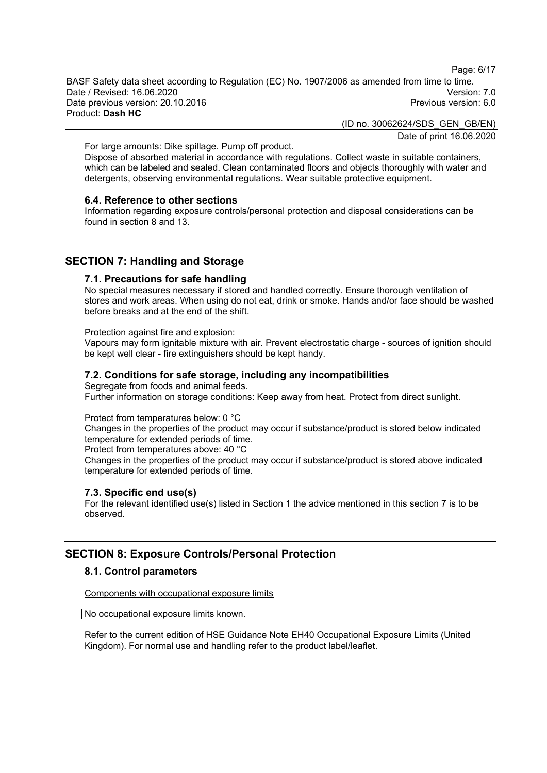Page: 6/17

BASF Safety data sheet according to Regulation (EC) No. 1907/2006 as amended from time to time. Date / Revised: 16.06.2020 Version: 7.0 Date previous version: 20.10.2016 Product: **Dash HC**

> (ID no. 30062624/SDS\_GEN\_GB/EN) Date of print 16.06.2020

For large amounts: Dike spillage. Pump off product.

Dispose of absorbed material in accordance with regulations. Collect waste in suitable containers, which can be labeled and sealed. Clean contaminated floors and objects thoroughly with water and detergents, observing environmental regulations. Wear suitable protective equipment.

#### **6.4. Reference to other sections**

Information regarding exposure controls/personal protection and disposal considerations can be found in section 8 and 13.

# **SECTION 7: Handling and Storage**

#### **7.1. Precautions for safe handling**

No special measures necessary if stored and handled correctly. Ensure thorough ventilation of stores and work areas. When using do not eat, drink or smoke. Hands and/or face should be washed before breaks and at the end of the shift.

Protection against fire and explosion:

Vapours may form ignitable mixture with air. Prevent electrostatic charge - sources of ignition should be kept well clear - fire extinguishers should be kept handy.

#### **7.2. Conditions for safe storage, including any incompatibilities**

Segregate from foods and animal feeds. Further information on storage conditions: Keep away from heat. Protect from direct sunlight.

## Protect from temperatures below: 0 °C

Changes in the properties of the product may occur if substance/product is stored below indicated temperature for extended periods of time.

Protect from temperatures above: 40 °C

Changes in the properties of the product may occur if substance/product is stored above indicated temperature for extended periods of time.

#### **7.3. Specific end use(s)**

For the relevant identified use(s) listed in Section 1 the advice mentioned in this section 7 is to be observed.

# **SECTION 8: Exposure Controls/Personal Protection**

#### **8.1. Control parameters**

Components with occupational exposure limits

No occupational exposure limits known.

Refer to the current edition of HSE Guidance Note EH40 Occupational Exposure Limits (United Kingdom). For normal use and handling refer to the product label/leaflet.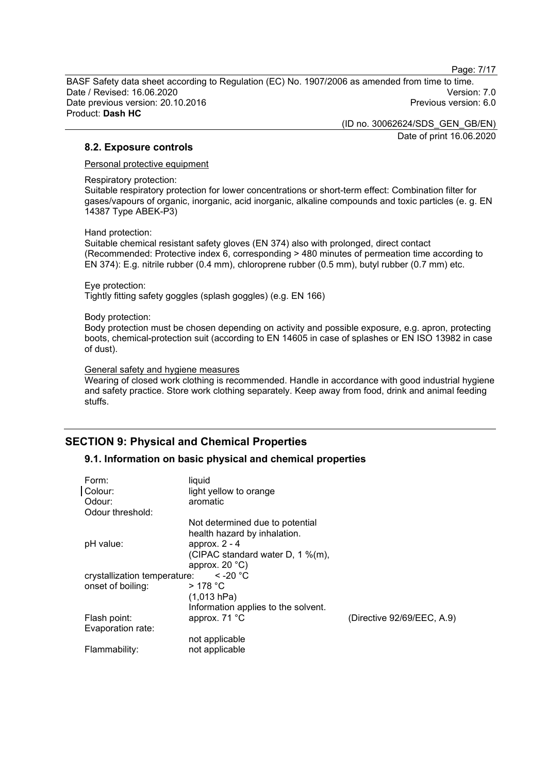Page: 7/17

BASF Safety data sheet according to Regulation (EC) No. 1907/2006 as amended from time to time. Date / Revised: 16.06.2020 Version: 7.0 Date previous version: 20.10.2016 Product: **Dash HC**

> (ID no. 30062624/SDS\_GEN\_GB/EN) Date of print 16.06.2020

# **8.2. Exposure controls**

Personal protective equipment

Respiratory protection:

Suitable respiratory protection for lower concentrations or short-term effect: Combination filter for gases/vapours of organic, inorganic, acid inorganic, alkaline compounds and toxic particles (e. g. EN 14387 Type ABEK-P3)

Hand protection:

Suitable chemical resistant safety gloves (EN 374) also with prolonged, direct contact (Recommended: Protective index 6, corresponding > 480 minutes of permeation time according to EN 374): E.g. nitrile rubber (0.4 mm), chloroprene rubber (0.5 mm), butyl rubber (0.7 mm) etc.

Eye protection:

Tightly fitting safety goggles (splash goggles) (e.g. EN 166)

Body protection:

Body protection must be chosen depending on activity and possible exposure, e.g. apron, protecting boots, chemical-protection suit (according to EN 14605 in case of splashes or EN ISO 13982 in case of dust).

#### General safety and hygiene measures

Wearing of closed work clothing is recommended. Handle in accordance with good industrial hygiene and safety practice. Store work clothing separately. Keep away from food, drink and animal feeding stuffs.

# **SECTION 9: Physical and Chemical Properties**

# **9.1. Information on basic physical and chemical properties**

| Form:<br>Colour:<br>Odour:   | liquid<br>light yellow to orange<br>aromatic |                            |
|------------------------------|----------------------------------------------|----------------------------|
| Odour threshold:             |                                              |                            |
|                              | Not determined due to potential              |                            |
|                              | health hazard by inhalation.                 |                            |
| pH value:                    | approx. $2 - 4$                              |                            |
|                              | (CIPAC standard water D, 1 %(m),             |                            |
|                              | approx. $20 °C$ )                            |                            |
| crystallization temperature: | $\le$ -20 $^{\circ}$ C                       |                            |
| onset of boiling:            | $>178$ °C                                    |                            |
|                              | (1,013 hPa)                                  |                            |
|                              | Information applies to the solvent.          |                            |
| Flash point:                 | approx. 71 °C                                | (Directive 92/69/EEC, A.9) |
| Evaporation rate:            |                                              |                            |
|                              | not applicable                               |                            |
| Flammability:                | not applicable                               |                            |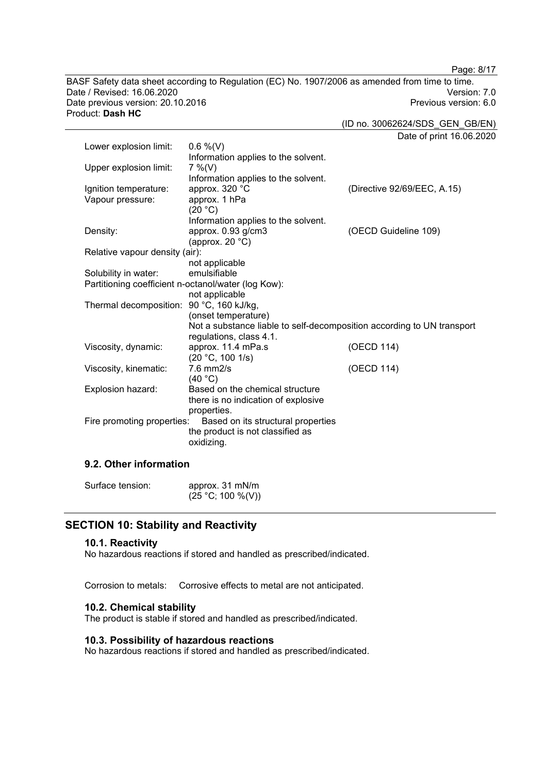BASF Safety data sheet according to Regulation (EC) No. 1907/2006 as amended from time to time. Date / Revised: 16.06.2020 Version: 7.0 Date previous version: 20.10.2016 Product: **Dash HC**

Page: 8/17

(ID no. 30062624/SDS\_GEN\_GB/EN)

Date of print 16.06.2020 Lower explosion limit: 0.6 %(V) Information applies to the solvent.<br>7 %(V) Upper explosion limit: Information applies to the solvent.<br>approx. 320 °C Ignition temperature: approx. 320 °C<br>Vapour pressure: approx. 1 hPa Vapour pressure:  $(20 °C)$ Information applies to the solvent. Density: approx. 0.93 g/cm3 (approx. 20 °C) (OECD Guideline 109) Relative vapour density (air): not applicable Solubility in water: Partitioning coefficient n-octanol/water (log Kow): not applicable Thermal decomposition: 90 °C, 160 kJ/kg, (onset temperature) Not a substance liable to self-decomposition according to UN transport regulations, class 4.1. Viscosity, dynamic: approx. 11.4 mPa.s (20 °C, 100 1/s) (OECD 114) Viscosity, kinematic:  $(40 °C)$ (OECD 114) Explosion hazard: Based on the chemical structure there is no indication of explosive properties.<br>Fire promoting properties: Based o Based on its structural properties the product is not classified as oxidizing.

# **9.2. Other information**

| Surface tension: | approx. 31 mN/m   |
|------------------|-------------------|
|                  | (25 °C; 100 %(V)) |

# **SECTION 10: Stability and Reactivity**

#### **10.1. Reactivity**

No hazardous reactions if stored and handled as prescribed/indicated.

Corrosion to metals: Corrosive effects to metal are not anticipated.

#### **10.2. Chemical stability**

The product is stable if stored and handled as prescribed/indicated.

#### **10.3. Possibility of hazardous reactions**

No hazardous reactions if stored and handled as prescribed/indicated.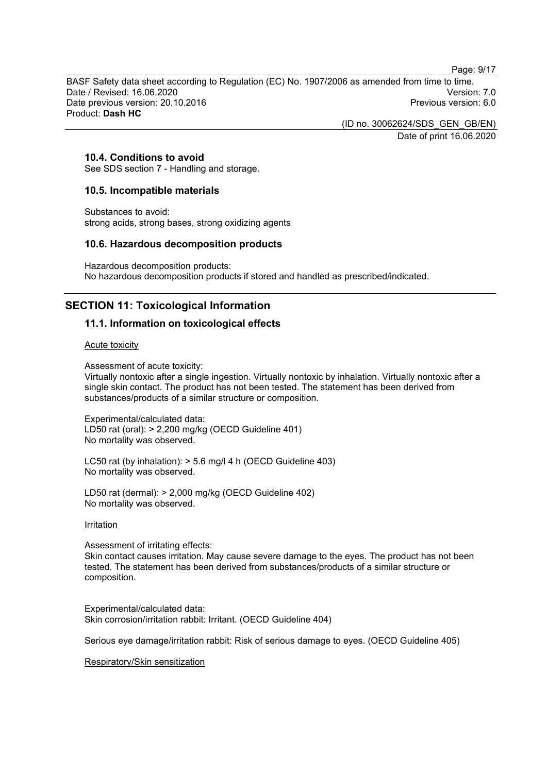Page: 9/17

BASF Safety data sheet according to Regulation (EC) No. 1907/2006 as amended from time to time. Date / Revised: 16.06.2020 Version: 7.0 Date previous version: 20.10.2016 Product: **Dash HC**

> (ID no. 30062624/SDS\_GEN\_GB/EN) Date of print 16.06.2020

# **10.4. Conditions to avoid**

See SDS section 7 - Handling and storage.

#### **10.5. Incompatible materials**

Substances to avoid: strong acids, strong bases, strong oxidizing agents

#### **10.6. Hazardous decomposition products**

Hazardous decomposition products: No hazardous decomposition products if stored and handled as prescribed/indicated.

# **SECTION 11: Toxicological Information**

# **11.1. Information on toxicological effects**

#### Acute toxicity

Assessment of acute toxicity:

Virtually nontoxic after a single ingestion. Virtually nontoxic by inhalation. Virtually nontoxic after a single skin contact. The product has not been tested. The statement has been derived from substances/products of a similar structure or composition.

Experimental/calculated data: LD50 rat (oral): > 2,200 mg/kg (OECD Guideline 401) No mortality was observed.

LC50 rat (by inhalation): > 5.6 mg/l 4 h (OECD Guideline 403) No mortality was observed.

LD50 rat (dermal): > 2,000 mg/kg (OECD Guideline 402) No mortality was observed.

#### Irritation

Assessment of irritating effects:

Skin contact causes irritation. May cause severe damage to the eyes. The product has not been tested. The statement has been derived from substances/products of a similar structure or composition.

Experimental/calculated data: Skin corrosion/irritation rabbit: Irritant. (OECD Guideline 404)

Serious eye damage/irritation rabbit: Risk of serious damage to eyes. (OECD Guideline 405)

Respiratory/Skin sensitization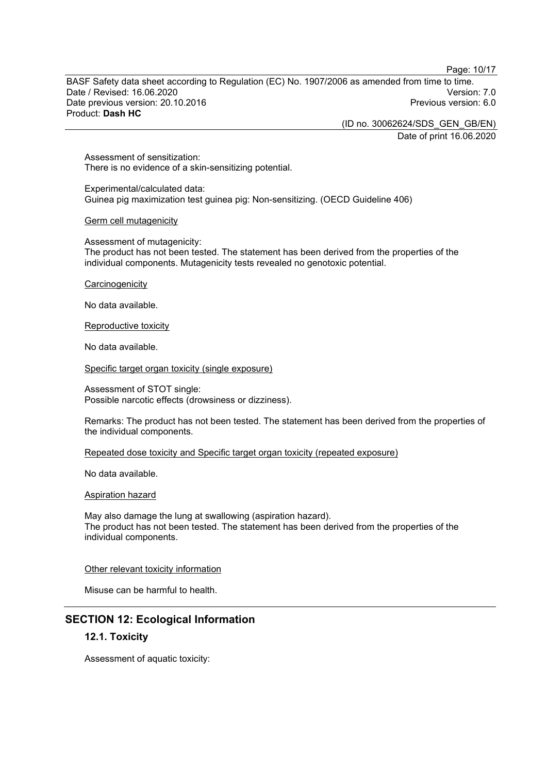Page: 10/17

BASF Safety data sheet according to Regulation (EC) No. 1907/2006 as amended from time to time. Date / Revised: 16.06.2020 Version: 7.0 Date previous version: 20.10.2016 Product: **Dash HC**

> (ID no. 30062624/SDS\_GEN\_GB/EN) Date of print 16.06.2020

Assessment of sensitization: There is no evidence of a skin-sensitizing potential.

Experimental/calculated data: Guinea pig maximization test guinea pig: Non-sensitizing. (OECD Guideline 406)

#### Germ cell mutagenicity

Assessment of mutagenicity: The product has not been tested. The statement has been derived from the properties of the individual components. Mutagenicity tests revealed no genotoxic potential.

**Carcinogenicity** 

No data available.

#### Reproductive toxicity

No data available.

Specific target organ toxicity (single exposure)

Assessment of STOT single: Possible narcotic effects (drowsiness or dizziness).

Remarks: The product has not been tested. The statement has been derived from the properties of the individual components.

Repeated dose toxicity and Specific target organ toxicity (repeated exposure)

No data available.

Aspiration hazard

May also damage the lung at swallowing (aspiration hazard). The product has not been tested. The statement has been derived from the properties of the individual components.

#### Other relevant toxicity information

Misuse can be harmful to health.

# **SECTION 12: Ecological Information**

# **12.1. Toxicity**

Assessment of aquatic toxicity: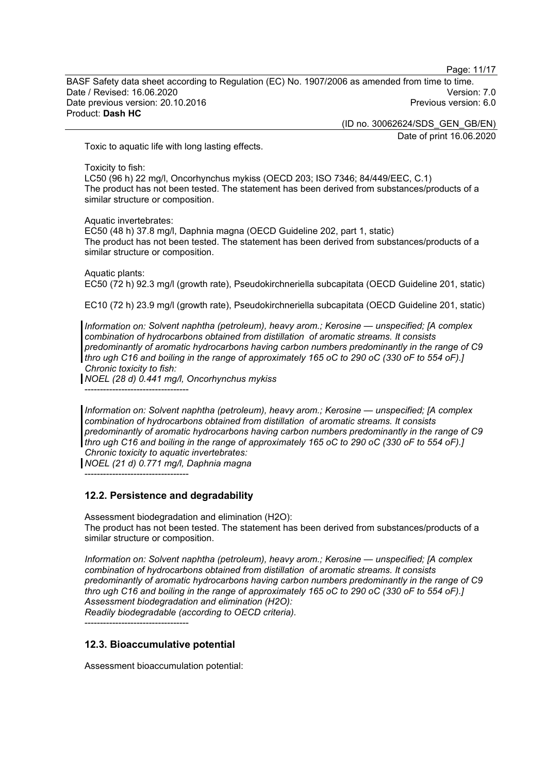Page: 11/17

BASF Safety data sheet according to Regulation (EC) No. 1907/2006 as amended from time to time. Date / Revised: 16.06.2020 Version: 7.0 Date previous version: 20.10.2016 Product: **Dash HC**

(ID no. 30062624/SDS\_GEN\_GB/EN)

Date of print 16.06.2020

Toxic to aquatic life with long lasting effects.

Toxicity to fish:

LC50 (96 h) 22 mg/l, Oncorhynchus mykiss (OECD 203; ISO 7346; 84/449/EEC, C.1) The product has not been tested. The statement has been derived from substances/products of a similar structure or composition.

Aquatic invertebrates:

EC50 (48 h) 37.8 mg/l, Daphnia magna (OECD Guideline 202, part 1, static) The product has not been tested. The statement has been derived from substances/products of a similar structure or composition.

Aquatic plants: EC50 (72 h) 92.3 mg/l (growth rate), Pseudokirchneriella subcapitata (OECD Guideline 201, static)

EC10 (72 h) 23.9 mg/l (growth rate), Pseudokirchneriella subcapitata (OECD Guideline 201, static)

*Information on: Solvent naphtha (petroleum), heavy arom.; Kerosine — unspecified; [A complex combination of hydrocarbons obtained from distillation of aromatic streams. It consists predominantly of aromatic hydrocarbons having carbon numbers predominantly in the range of C9 thro ugh C16 and boiling in the range of approximately 165 oC to 290 oC (330 oF to 554 oF).] Chronic toxicity to fish:*

*NOEL (28 d) 0.441 mg/l, Oncorhynchus mykiss*

----------------------------------

----------------------------------

*Information on: Solvent naphtha (petroleum), heavy arom.; Kerosine — unspecified; [A complex combination of hydrocarbons obtained from distillation of aromatic streams. It consists predominantly of aromatic hydrocarbons having carbon numbers predominantly in the range of C9 thro ugh C16 and boiling in the range of approximately 165 oC to 290 oC (330 oF to 554 oF).] Chronic toxicity to aquatic invertebrates:*

*NOEL (21 d) 0.771 mg/l, Daphnia magna*

**12.2. Persistence and degradability**

Assessment biodegradation and elimination (H2O): The product has not been tested. The statement has been derived from substances/products of a similar structure or composition.

*Information on: Solvent naphtha (petroleum), heavy arom.; Kerosine — unspecified; [A complex combination of hydrocarbons obtained from distillation of aromatic streams. It consists predominantly of aromatic hydrocarbons having carbon numbers predominantly in the range of C9 thro ugh C16 and boiling in the range of approximately 165 oC to 290 oC (330 oF to 554 oF).] Assessment biodegradation and elimination (H2O): Readily biodegradable (according to OECD criteria).*

----------------------------------

# **12.3. Bioaccumulative potential**

Assessment bioaccumulation potential: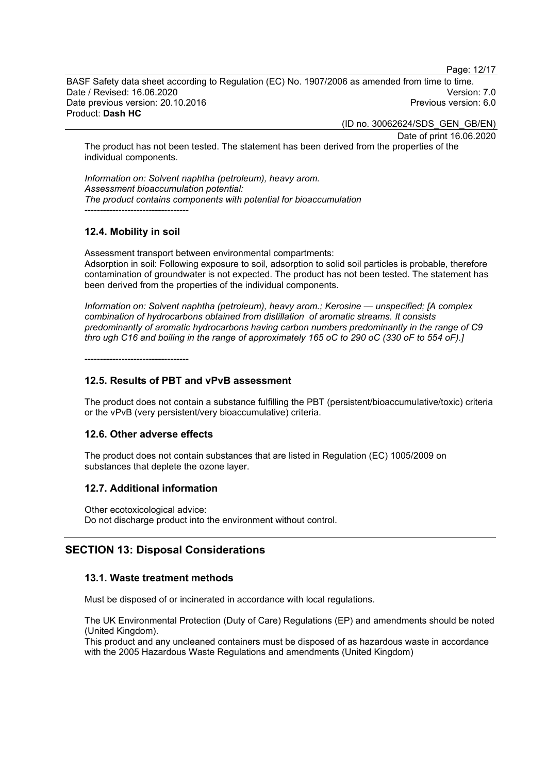Page: 12/17

BASF Safety data sheet according to Regulation (EC) No. 1907/2006 as amended from time to time. Date / Revised: 16.06.2020 Version: 7.0 Date previous version: 20.10.2016 Product: **Dash HC**

(ID no. 30062624/SDS\_GEN\_GB/EN)

Date of print 16.06.2020 The product has not been tested. The statement has been derived from the properties of the individual components.

*Information on: Solvent naphtha (petroleum), heavy arom. Assessment bioaccumulation potential: The product contains components with potential for bioaccumulation* ----------------------------------

# **12.4. Mobility in soil**

Assessment transport between environmental compartments: Adsorption in soil: Following exposure to soil, adsorption to solid soil particles is probable, therefore contamination of groundwater is not expected. The product has not been tested. The statement has been derived from the properties of the individual components.

*Information on: Solvent naphtha (petroleum), heavy arom.; Kerosine — unspecified; [A complex combination of hydrocarbons obtained from distillation of aromatic streams. It consists predominantly of aromatic hydrocarbons having carbon numbers predominantly in the range of C9 thro ugh C16 and boiling in the range of approximately 165 oC to 290 oC (330 oF to 554 oF).]*

----------------------------------

# **12.5. Results of PBT and vPvB assessment**

The product does not contain a substance fulfilling the PBT (persistent/bioaccumulative/toxic) criteria or the vPvB (very persistent/very bioaccumulative) criteria.

# **12.6. Other adverse effects**

The product does not contain substances that are listed in Regulation (EC) 1005/2009 on substances that deplete the ozone layer.

# **12.7. Additional information**

Other ecotoxicological advice: Do not discharge product into the environment without control.

# **SECTION 13: Disposal Considerations**

# **13.1. Waste treatment methods**

Must be disposed of or incinerated in accordance with local regulations.

The UK Environmental Protection (Duty of Care) Regulations (EP) and amendments should be noted (United Kingdom).

This product and any uncleaned containers must be disposed of as hazardous waste in accordance with the 2005 Hazardous Waste Regulations and amendments (United Kingdom)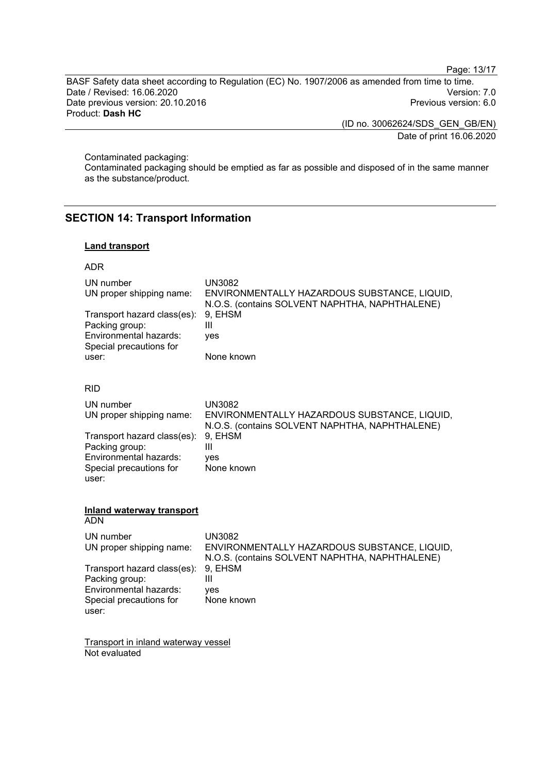Page: 13/17

BASF Safety data sheet according to Regulation (EC) No. 1907/2006 as amended from time to time. Date / Revised: 16.06.2020<br>Date previous version: 20.10.2016 Version: 7.0<br>Previous version: 6.0 Date previous version: 20.10.2016 Product: **Dash HC**

> (ID no. 30062624/SDS\_GEN\_GB/EN) Date of print 16.06.2020

Contaminated packaging:

Contaminated packaging should be emptied as far as possible and disposed of in the same manner as the substance/product.

# **SECTION 14: Transport Information**

# **Land transport**

## ADR

| UN number<br>UN proper shipping name:<br>Transport hazard class(es):<br>Packing group:<br>Environmental hazards:<br>Special precautions for<br>user:                                                   | <b>UN3082</b><br>ENVIRONMENTALLY HAZARDOUS SUBSTANCE, LIQUID,<br>N.O.S. (contains SOLVENT NAPHTHA, NAPHTHALENE)<br>9, EHSM<br>Ш<br>ves<br>None known              |
|--------------------------------------------------------------------------------------------------------------------------------------------------------------------------------------------------------|-------------------------------------------------------------------------------------------------------------------------------------------------------------------|
| <b>RID</b><br>UN number<br>UN proper shipping name:<br>Transport hazard class(es):<br>Packing group:<br>Environmental hazards:<br>Special precautions for<br>user:                                     | <b>UN3082</b><br>ENVIRONMENTALLY HAZARDOUS SUBSTANCE, LIQUID,<br>N.O.S. (contains SOLVENT NAPHTHA, NAPHTHALENE)<br>9, EHSM<br>$\mathbf{III}$<br>ves<br>None known |
| <b>Inland waterway transport</b><br><b>ADN</b><br>UN number<br>UN proper shipping name:<br>Transport hazard class(es):<br>Packing group:<br>Environmental hazards:<br>Special precautions for<br>user: | <b>UN3082</b><br>ENVIRONMENTALLY HAZARDOUS SUBSTANCE, LIQUID,<br>N.O.S. (contains SOLVENT NAPHTHA, NAPHTHALENE)<br>9, EHSM<br>$\mathbf{III}$<br>ves<br>None known |

Transport in inland waterway vessel Not evaluated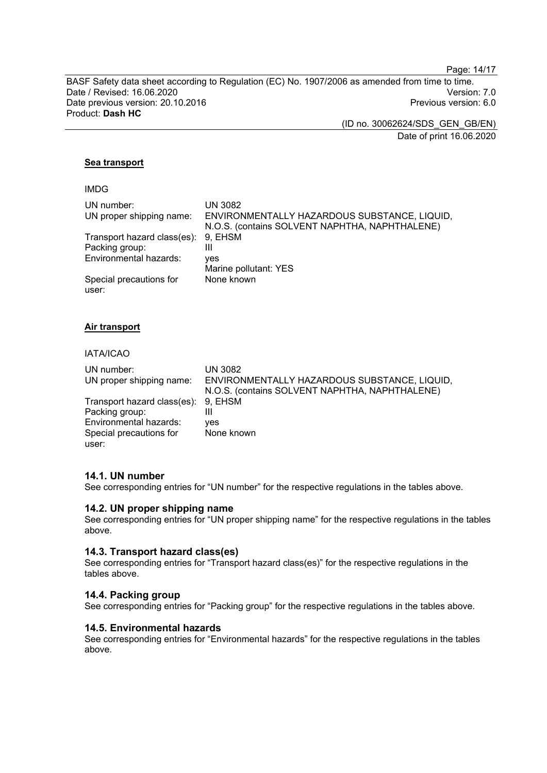Page: 14/17

BASF Safety data sheet according to Regulation (EC) No. 1907/2006 as amended from time to time. Date / Revised: 16.06.2020<br>Date previous version: 20.10.2016 Version: 7.0<br>Previous version: 6.0 Date previous version: 20.10.2016 Product: **Dash HC**

> (ID no. 30062624/SDS\_GEN\_GB/EN) Date of print 16.06.2020

## **Sea transport**

IMDG

| UN number:<br>UN proper shipping name:        | <b>UN 3082</b><br>ENVIRONMENTALLY HAZARDOUS SUBSTANCE, LIQUID,<br>N.O.S. (contains SOLVENT NAPHTHA, NAPHTHALENE) |
|-----------------------------------------------|------------------------------------------------------------------------------------------------------------------|
| Transport hazard class(es):<br>Packing group: | 9, EHSM<br>Ш                                                                                                     |
| Environmental hazards:                        | ves<br>Marine pollutant: YES                                                                                     |
| Special precautions for<br>user:              | None known                                                                                                       |

#### **Air transport**

#### IATA/ICAO

| UN number:                          | UN 3082                                        |
|-------------------------------------|------------------------------------------------|
| UN proper shipping name:            | ENVIRONMENTALLY HAZARDOUS SUBSTANCE, LIQUID,   |
|                                     | N.O.S. (contains SOLVENT NAPHTHA, NAPHTHALENE) |
| Transport hazard class(es): 9, EHSM |                                                |
| Packing group:                      | Ш                                              |
| Environmental hazards:              | ves                                            |
| Special precautions for             | None known                                     |
| user:                               |                                                |

#### **14.1. UN number**

See corresponding entries for "UN number" for the respective regulations in the tables above.

#### **14.2. UN proper shipping name**

See corresponding entries for "UN proper shipping name" for the respective regulations in the tables above.

#### **14.3. Transport hazard class(es)**

See corresponding entries for "Transport hazard class(es)" for the respective regulations in the tables above.

#### **14.4. Packing group**

See corresponding entries for "Packing group" for the respective regulations in the tables above.

# **14.5. Environmental hazards**

See corresponding entries for "Environmental hazards" for the respective regulations in the tables above.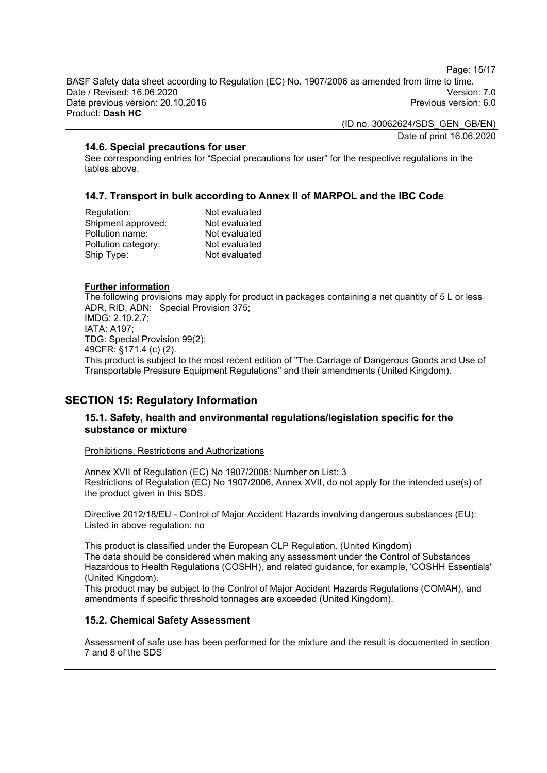Page: 15/17

BASF Safety data sheet according to Regulation (EC) No. 1907/2006 as amended from time to time. Date / Revised: 16.06.2020 Version: 7.0 Date previous version: 20.10.2016 Product: **Dash HC**

(ID no. 30062624/SDS\_GEN\_GB/EN)

Date of print 16.06.2020

# **14.6. Special precautions for user**

See corresponding entries for "Special precautions for user" for the respective regulations in the tables above.

# **14.7. Transport in bulk according to Annex II of MARPOL and the IBC Code**

| Not evaluated |
|---------------|
| Not evaluated |
| Not evaluated |
| Not evaluated |
| Not evaluated |
|               |

#### **Further information**

The following provisions may apply for product in packages containing a net quantity of 5 L or less ADR, RID, ADN: Special Provision 375; IMDG: 2.10.2.7; IATA: A197; TDG: Special Provision 99(2); 49CFR: §171.4 (c) (2). This product is subject to the most recent edition of "The Carriage of Dangerous Goods and Use of Transportable Pressure Equipment Regulations" and their amendments (United Kingdom).

# **SECTION 15: Regulatory Information**

## **15.1. Safety, health and environmental regulations/legislation specific for the substance or mixture**

#### Prohibitions, Restrictions and Authorizations

Annex XVII of Regulation (EC) No 1907/2006: Number on List: 3 Restrictions of Regulation (EC) No 1907/2006, Annex XVII, do not apply for the intended use(s) of the product given in this SDS.

Directive 2012/18/EU - Control of Major Accident Hazards involving dangerous substances (EU): Listed in above regulation: no

This product is classified under the European CLP Regulation. (United Kingdom) The data should be considered when making any assessment under the Control of Substances Hazardous to Health Regulations (COSHH), and related guidance, for example, 'COSHH Essentials' (United Kingdom).

This product may be subject to the Control of Major Accident Hazards Regulations (COMAH), and amendments if specific threshold tonnages are exceeded (United Kingdom).

# **15.2. Chemical Safety Assessment**

Assessment of safe use has been performed for the mixture and the result is documented in section 7 and 8 of the SDS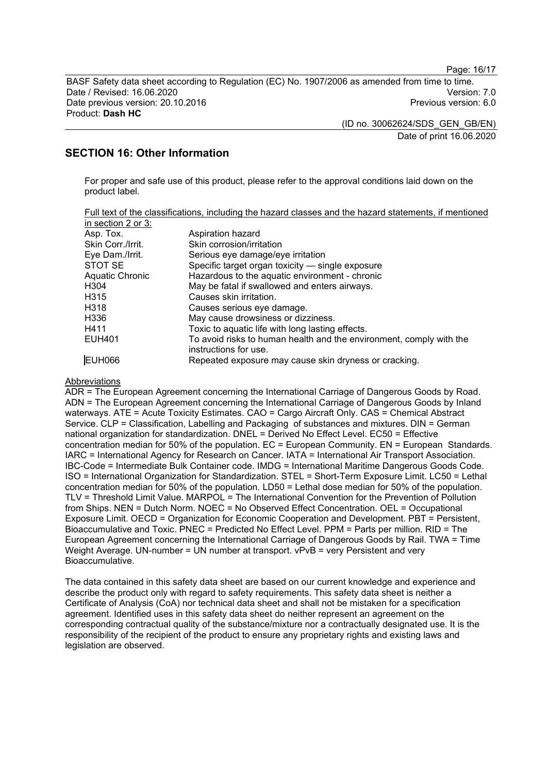Page: 16/17

BASF Safety data sheet according to Regulation (EC) No. 1907/2006 as amended from time to time. Date / Revised: 16.06.2020 Version: 7.0 Date previous version: 20.10.2016 Product: **Dash HC**

> (ID no. 30062624/SDS\_GEN\_GB/EN) Date of print 16.06.2020

# **SECTION 16: Other Information**

For proper and safe use of this product, please refer to the approval conditions laid down on the product label.

| Full text of the classifications, including the hazard classes and the hazard statements, if mentioned |  |  |  |  |
|--------------------------------------------------------------------------------------------------------|--|--|--|--|
| in section 2 or $3:$                                                                                   |  |  |  |  |

| Asp. Tox.         | Aspiration hazard                                                   |
|-------------------|---------------------------------------------------------------------|
| Skin Corr./Irrit. | Skin corrosion/irritation                                           |
| Eye Dam./Irrit.   | Serious eye damage/eye irritation                                   |
| STOT SE           | Specific target organ toxicity - single exposure                    |
| Aquatic Chronic   | Hazardous to the aquatic environment - chronic                      |
| H304              | May be fatal if swallowed and enters airways.                       |
| H315              | Causes skin irritation.                                             |
| H318              | Causes serious eye damage.                                          |
| H336              | May cause drowsiness or dizziness.                                  |
| H411              | Toxic to aquatic life with long lasting effects.                    |
| <b>EUH401</b>     | To avoid risks to human health and the environment, comply with the |
|                   | instructions for use.                                               |
| <b>EUH066</b>     | Repeated exposure may cause skin dryness or cracking.               |

**Abbreviations** 

ADR = The European Agreement concerning the International Carriage of Dangerous Goods by Road. ADN = The European Agreement concerning the International Carriage of Dangerous Goods by Inland waterways. ATE = Acute Toxicity Estimates. CAO = Cargo Aircraft Only. CAS = Chemical Abstract Service. CLP = Classification, Labelling and Packaging of substances and mixtures. DIN = German national organization for standardization. DNEL = Derived No Effect Level. EC50 = Effective concentration median for 50% of the population. EC = European Community. EN = European Standards. IARC = International Agency for Research on Cancer. IATA = International Air Transport Association. IBC-Code = Intermediate Bulk Container code. IMDG = International Maritime Dangerous Goods Code. ISO = International Organization for Standardization. STEL = Short-Term Exposure Limit. LC50 = Lethal concentration median for 50% of the population. LD50 = Lethal dose median for 50% of the population. TLV = Threshold Limit Value. MARPOL = The International Convention for the Prevention of Pollution from Ships. NEN = Dutch Norm. NOEC = No Observed Effect Concentration. OEL = Occupational Exposure Limit. OECD = Organization for Economic Cooperation and Development. PBT = Persistent, Bioaccumulative and Toxic. PNEC = Predicted No Effect Level. PPM = Parts per million. RID = The European Agreement concerning the International Carriage of Dangerous Goods by Rail. TWA = Time Weight Average. UN-number = UN number at transport. vPvB = very Persistent and very Bioaccumulative.

The data contained in this safety data sheet are based on our current knowledge and experience and describe the product only with regard to safety requirements. This safety data sheet is neither a Certificate of Analysis (CoA) nor technical data sheet and shall not be mistaken for a specification agreement. Identified uses in this safety data sheet do neither represent an agreement on the corresponding contractual quality of the substance/mixture nor a contractually designated use. It is the responsibility of the recipient of the product to ensure any proprietary rights and existing laws and legislation are observed.